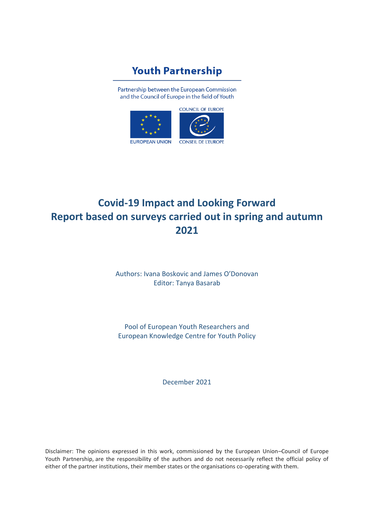# **Youth Partnership**

Partnership between the European Commission and the Council of Europe in the field of Youth



# **Covid-19 Impact and Looking Forward Report based on surveys carried out in spring and autumn 2021**

Authors: Ivana Boskovic and James O'Donovan Editor: Tanya Basarab

Pool of European Youth Researchers and European Knowledge Centre for Youth Policy

December 2021

Disclaimer: The opinions expressed in this work, commissioned by the European Union–Council of Europe Youth Partnership, are the responsibility of the authors and do not necessarily reflect the official policy of either of the partner institutions, their member states or the organisations co-operating with them.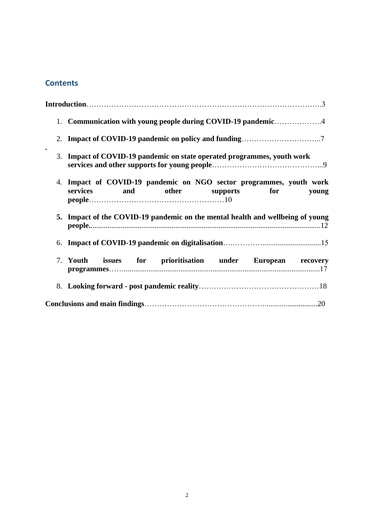### **Contents**

|           | 1. Communication with young people during COVID-19 pandemic4                                                       |
|-----------|--------------------------------------------------------------------------------------------------------------------|
|           |                                                                                                                    |
| $\bullet$ | 3. Impact of COVID-19 pandemic on state operated programmes, youth work                                            |
|           | 4. Impact of COVID-19 pandemic on NGO sector programmes, youth work<br>services and<br>other supports for<br>young |
|           | 5. Impact of the COVID-19 pandemic on the mental health and wellbeing of young                                     |
|           |                                                                                                                    |
|           | 7. Youth issues for prioritisation under European recovery                                                         |
|           |                                                                                                                    |
|           |                                                                                                                    |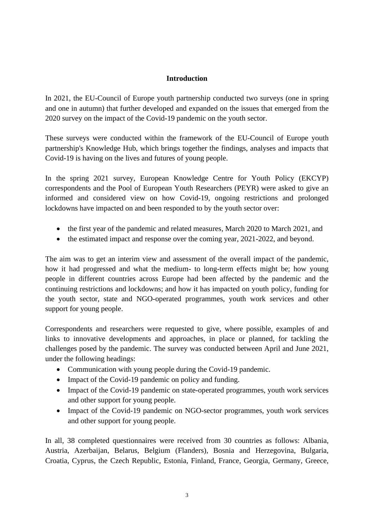#### **Introduction**

In 2021, the EU-Council of Europe youth partnership conducted two surveys (one in spring and one in autumn) that further developed and expanded on the issues that emerged from the 2020 survey on the impact of the Covid-19 pandemic on the youth sector.

These surveys were conducted within the framework of the EU-Council of Europe youth partnership's Knowledge Hub, which brings together the findings, analyses and impacts that Covid-19 is having on the lives and futures of young people.

In the spring 2021 survey, European Knowledge Centre for Youth Policy (EKCYP) correspondents and the Pool of European Youth Researchers (PEYR) were asked to give an informed and considered view on how Covid-19, ongoing restrictions and prolonged lockdowns have impacted on and been responded to by the youth sector over:

- the first year of the pandemic and related measures, March 2020 to March 2021, and
- the estimated impact and response over the coming year, 2021-2022, and beyond.

The aim was to get an interim view and assessment of the overall impact of the pandemic, how it had progressed and what the medium- to long-term effects might be; how young people in different countries across Europe had been affected by the pandemic and the continuing restrictions and lockdowns; and how it has impacted on youth policy, funding for the youth sector, state and NGO-operated programmes, youth work services and other support for young people.

Correspondents and researchers were requested to give, where possible, examples of and links to innovative developments and approaches, in place or planned, for tackling the challenges posed by the pandemic. The survey was conducted between April and June 2021, under the following headings:

- Communication with young people during the Covid-19 pandemic.
- Impact of the Covid-19 pandemic on policy and funding.
- Impact of the Covid-19 pandemic on state-operated programmes, youth work services and other support for young people.
- Impact of the Covid-19 pandemic on NGO-sector programmes, youth work services and other support for young people.

In all, 38 completed questionnaires were received from 30 countries as follows: Albania, Austria, Azerbaijan, Belarus, Belgium (Flanders), Bosnia and Herzegovina, Bulgaria, Croatia, Cyprus, the Czech Republic, Estonia, Finland, France, Georgia, Germany, Greece,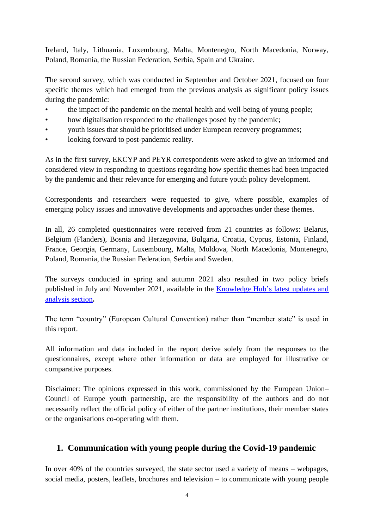Ireland, Italy, Lithuania, Luxembourg, Malta, Montenegro, North Macedonia, Norway, Poland, Romania, the Russian Federation, Serbia, Spain and Ukraine.

The second survey, which was conducted in September and October 2021, focused on four specific themes which had emerged from the previous analysis as significant policy issues during the pandemic:

- the impact of the pandemic on the mental health and well-being of young people;
- how digitalisation responded to the challenges posed by the pandemic;
- youth issues that should be prioritised under European recovery programmes;
- looking forward to post-pandemic reality.

As in the first survey, EKCYP and PEYR correspondents were asked to give an informed and considered view in responding to questions regarding how specific themes had been impacted by the pandemic and their relevance for emerging and future youth policy development.

Correspondents and researchers were requested to give, where possible, examples of emerging policy issues and innovative developments and approaches under these themes.

In all, 26 completed questionnaires were received from 21 countries as follows: Belarus, Belgium (Flanders), Bosnia and Herzegovina, Bulgaria, Croatia, Cyprus, Estonia, Finland, France, Georgia, Germany, Luxembourg, Malta, Moldova, North Macedonia, Montenegro, Poland, Romania, the Russian Federation, Serbia and Sweden.

The surveys conducted in spring and autumn 2021 also resulted in two policy briefs published in July and November 2021, available in the [Knowledge Hub's](https://pjp-eu.coe.int/en/web/youth-partnership/latest-update-and-analysis) latest updates and [analysis section](https://pjp-eu.coe.int/en/web/youth-partnership/latest-update-and-analysis)**.**

The term "country" (European Cultural Convention) rather than "member state" is used in this report.

All information and data included in the report derive solely from the responses to the questionnaires, except where other information or data are employed for illustrative or comparative purposes.

Disclaimer: The opinions expressed in this work, commissioned by the European Union– Council of Europe youth partnership, are the responsibility of the authors and do not necessarily reflect the official policy of either of the partner institutions, their member states or the organisations co-operating with them.

#### **1. Communication with young people during the Covid-19 pandemic**

In over 40% of the countries surveyed, the state sector used a variety of means – webpages, social media, posters, leaflets, brochures and television – to communicate with young people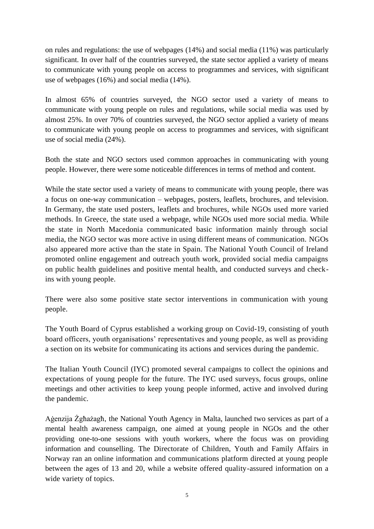on rules and regulations: the use of webpages (14%) and social media (11%) was particularly significant. In over half of the countries surveyed, the state sector applied a variety of means to communicate with young people on access to programmes and services, with significant use of webpages (16%) and social media (14%).

In almost 65% of countries surveyed, the NGO sector used a variety of means to communicate with young people on rules and regulations, while social media was used by almost 25%. In over 70% of countries surveyed, the NGO sector applied a variety of means to communicate with young people on access to programmes and services, with significant use of social media (24%).

Both the state and NGO sectors used common approaches in communicating with young people. However, there were some noticeable differences in terms of method and content.

While the state sector used a variety of means to communicate with young people, there was a focus on one-way communication – webpages, posters, leaflets, brochures, and television. In Germany, the state used posters, leaflets and brochures, while NGOs used more varied methods. In Greece, the state used a webpage, while NGOs used more social media. While the state in North Macedonia communicated basic information mainly through social media, the NGO sector was more active in using different means of communication. NGOs also appeared more active than the state in Spain. The National Youth Council of Ireland promoted online engagement and outreach youth work, provided social media campaigns on public health guidelines and positive mental health, and conducted surveys and checkins with young people.

There were also some positive state sector interventions in communication with young people.

The Youth Board of Cyprus established a working group on Covid-19, consisting of youth board officers, youth organisations' representatives and young people, as well as providing a section on its website for communicating its actions and services during the pandemic.

The Italian Youth Council (IYC) promoted several campaigns to collect the opinions and expectations of young people for the future. The IYC used surveys, focus groups, online meetings and other activities to keep young people informed, active and involved during the pandemic.

Aġenzija Żgħażagħ, the National Youth Agency in Malta, launched two services as part of a mental health awareness campaign, one aimed at young people in NGOs and the other providing one-to-one sessions with youth workers, where the focus was on providing information and counselling. The Directorate of Children, Youth and Family Affairs in Norway ran an online information and communications platform directed at young people between the ages of 13 and 20, while a website offered quality-assured information on a wide variety of topics.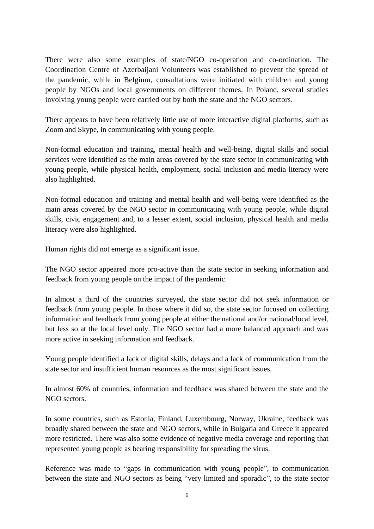There were also some examples of state/NGO co-operation and co-ordination. The Coordination Centre of Azerbaijani Volunteers was established to prevent the spread of the pandemic, while in Belgium, consultations were initiated with children and young people by NGOs and local governments on different themes. In Poland, several studies involving young people were carried out by both the state and the NGO sectors.

There appears to have been relatively little use of more interactive digital platforms, such as Zoom and Skype, in communicating with young people.

Non-formal education and training, mental health and well-being, digital skills and social services were identified as the main areas covered by the state sector in communicating with young people, while physical health, employment, social inclusion and media literacy were also highlighted.

Non-formal education and training and mental health and well-being were identified as the main areas covered by the NGO sector in communicating with young people, while digital skills, civic engagement and, to a lesser extent, social inclusion, physical health and media literacy were also highlighted.

Human rights did not emerge as a significant issue.

The NGO sector appeared more pro-active than the state sector in seeking information and feedback from young people on the impact of the pandemic.

In almost a third of the countries surveyed, the state sector did not seek information or feedback from young people. In those where it did so, the state sector focused on collecting information and feedback from young people at either the national and/or national/local level, but less so at the local level only. The NGO sector had a more balanced approach and was more active in seeking information and feedback.

Young people identified a lack of digital skills, delays and a lack of communication from the state sector and insufficient human resources as the most significant issues.

In almost 60% of countries, information and feedback was shared between the state and the NGO sectors.

In some countries, such as Estonia, Finland, Luxembourg, Norway, Ukraine, feedback was broadly shared between the state and NGO sectors, while in Bulgaria and Greece it appeared more restricted. There was also some evidence of negative media coverage and reporting that represented young people as bearing responsibility for spreading the virus.

Reference was made to "gaps in communication with young people", to communication between the state and NGO sectors as being "very limited and sporadic", to the state sector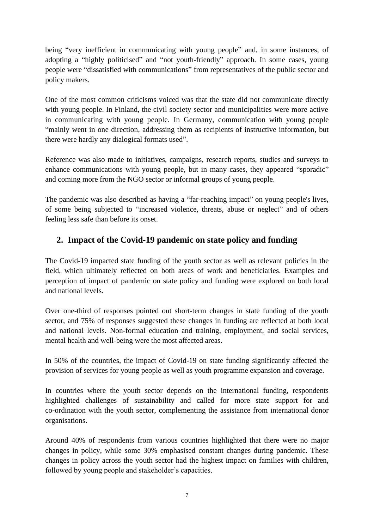being "very inefficient in communicating with young people" and, in some instances, of adopting a "highly politicised" and "not youth-friendly" approach. In some cases, young people were "dissatisfied with communications" from representatives of the public sector and policy makers.

One of the most common criticisms voiced was that the state did not communicate directly with young people. In Finland, the civil society sector and municipalities were more active in communicating with young people. In Germany, communication with young people "mainly went in one direction, addressing them as recipients of instructive information, but there were hardly any dialogical formats used".

Reference was also made to initiatives, campaigns, research reports, studies and surveys to enhance communications with young people, but in many cases, they appeared "sporadic" and coming more from the NGO sector or informal groups of young people.

The pandemic was also described as having a "far-reaching impact" on young people's lives, of some being subjected to "increased violence, threats, abuse or neglect" and of others feeling less safe than before its onset.

### **2. Impact of the Covid-19 pandemic on state policy and funding**

The Covid-19 impacted state funding of the youth sector as well as relevant policies in the field, which ultimately reflected on both areas of work and beneficiaries. Examples and perception of impact of pandemic on state policy and funding were explored on both local and national levels.

Over one-third of responses pointed out short-term changes in state funding of the youth sector, and 75% of responses suggested these changes in funding are reflected at both local and national levels. Non-formal education and training, employment, and social services, mental health and well-being were the most affected areas.

In 50% of the countries, the impact of Covid-19 on state funding significantly affected the provision of services for young people as well as youth programme expansion and coverage.

In countries where the youth sector depends on the international funding, respondents highlighted challenges of sustainability and called for more state support for and co-ordination with the youth sector, complementing the assistance from international donor organisations.

Around 40% of respondents from various countries highlighted that there were no major changes in policy, while some 30% emphasised constant changes during pandemic. These changes in policy across the youth sector had the highest impact on families with children, followed by young people and stakeholder's capacities.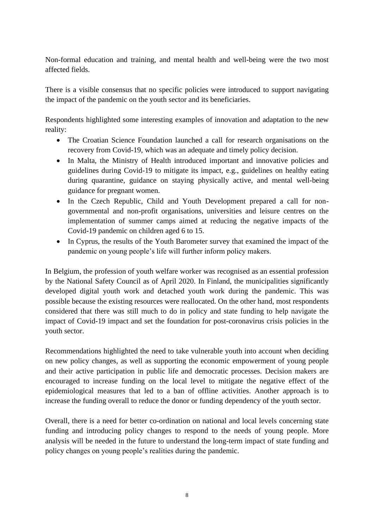Non-formal education and training, and mental health and well-being were the two most affected fields.

There is a visible consensus that no specific policies were introduced to support navigating the impact of the pandemic on the youth sector and its beneficiaries.

Respondents highlighted some interesting examples of innovation and adaptation to the new reality:

- The Croatian Science Foundation launched a call for research organisations on the recovery from Covid-19, which was an adequate and timely policy decision.
- In Malta, the Ministry of Health introduced important and innovative policies and guidelines during Covid-19 to mitigate its impact, e.g., guidelines on healthy eating during quarantine, guidance on staying physically active, and mental well-being guidance for pregnant women.
- In the Czech Republic, Child and Youth Development prepared a call for nongovernmental and non-profit organisations, universities and leisure centres on the implementation of summer camps aimed at reducing the negative impacts of the Covid-19 pandemic on children aged 6 to 15.
- In Cyprus, the results of the Youth Barometer survey that examined the impact of the pandemic on young people's life will further inform policy makers.

In Belgium, the profession of youth welfare worker was recognised as an essential profession by the National Safety Council as of April 2020. In Finland, the municipalities significantly developed digital youth work and detached youth work during the pandemic. This was possible because the existing resources were reallocated. On the other hand, most respondents considered that there was still much to do in policy and state funding to help navigate the impact of Covid-19 impact and set the foundation for post-coronavirus crisis policies in the youth sector.

Recommendations highlighted the need to take vulnerable youth into account when deciding on new policy changes, as well as supporting the economic empowerment of young people and their active participation in public life and democratic processes. Decision makers are encouraged to increase funding on the local level to mitigate the negative effect of the epidemiological measures that led to a ban of offline activities. Another approach is to increase the funding overall to reduce the donor or funding dependency of the youth sector.

Overall, there is a need for better co-ordination on national and local levels concerning state funding and introducing policy changes to respond to the needs of young people. More analysis will be needed in the future to understand the long-term impact of state funding and policy changes on young people's realities during the pandemic.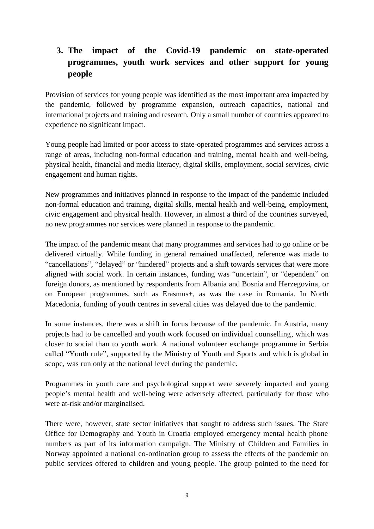# **3. The impact of the Covid-19 pandemic on state-operated programmes, youth work services and other support for young people**

Provision of services for young people was identified as the most important area impacted by the pandemic, followed by programme expansion, outreach capacities, national and international projects and training and research. Only a small number of countries appeared to experience no significant impact.

Young people had limited or poor access to state-operated programmes and services across a range of areas, including non-formal education and training, mental health and well-being, physical health, financial and media literacy, digital skills, employment, social services, civic engagement and human rights.

New programmes and initiatives planned in response to the impact of the pandemic included non-formal education and training, digital skills, mental health and well-being, employment, civic engagement and physical health. However, in almost a third of the countries surveyed, no new programmes nor services were planned in response to the pandemic.

The impact of the pandemic meant that many programmes and services had to go online or be delivered virtually. While funding in general remained unaffected, reference was made to "cancellations", "delayed" or "hindered" projects and a shift towards services that were more aligned with social work. In certain instances, funding was "uncertain", or "dependent" on foreign donors, as mentioned by respondents from Albania and Bosnia and Herzegovina, or on European programmes, such as Erasmus+, as was the case in Romania. In North Macedonia, funding of youth centres in several cities was delayed due to the pandemic.

In some instances, there was a shift in focus because of the pandemic. In Austria, many projects had to be cancelled and youth work focused on individual counselling, which was closer to social than to youth work. A national volunteer exchange programme in Serbia called "Youth rule", supported by the Ministry of Youth and Sports and which is global in scope, was run only at the national level during the pandemic.

Programmes in youth care and psychological support were severely impacted and young people's mental health and well-being were adversely affected, particularly for those who were at-risk and/or marginalised.

There were, however, state sector initiatives that sought to address such issues. The State Office for Demography and Youth in Croatia employed emergency mental health phone numbers as part of its information campaign. The Ministry of Children and Families in Norway appointed a national co-ordination group to assess the effects of the pandemic on public services offered to children and young people. The group pointed to the need for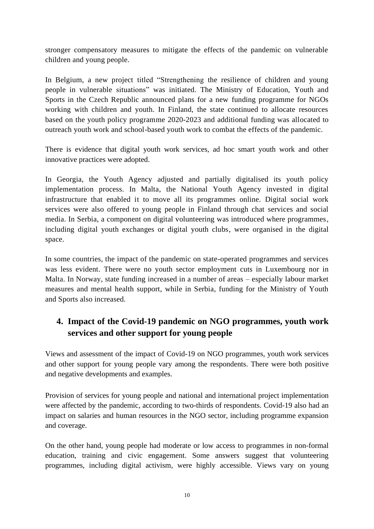stronger compensatory measures to mitigate the effects of the pandemic on vulnerable children and young people.

In Belgium, a new project titled "Strengthening the resilience of children and young people in vulnerable situations" was initiated. The Ministry of Education, Youth and Sports in the Czech Republic announced plans for a new funding programme for NGOs working with children and youth. In Finland, the state continued to allocate resources based on the youth policy programme 2020-2023 and additional funding was allocated to outreach youth work and school-based youth work to combat the effects of the pandemic.

There is evidence that digital youth work services, ad hoc smart youth work and other innovative practices were adopted.

In Georgia, the Youth Agency adjusted and partially digitalised its youth policy implementation process. In Malta, the National Youth Agency invested in digital infrastructure that enabled it to move all its programmes online. Digital social work services were also offered to young people in Finland through chat services and social media. In Serbia, a component on digital volunteering was introduced where programmes, including digital youth exchanges or digital youth clubs, were organised in the digital space.

In some countries, the impact of the pandemic on state-operated programmes and services was less evident. There were no youth sector employment cuts in Luxembourg nor in Malta. In Norway, state funding increased in a number of areas – especially labour market measures and mental health support, while in Serbia, funding for the Ministry of Youth and Sports also increased.

# **4. Impact of the Covid-19 pandemic on NGO programmes, youth work services and other support for young people**

Views and assessment of the impact of Covid-19 on NGO programmes, youth work services and other support for young people vary among the respondents. There were both positive and negative developments and examples.

Provision of services for young people and national and international project implementation were affected by the pandemic, according to two-thirds of respondents. Covid-19 also had an impact on salaries and human resources in the NGO sector, including programme expansion and coverage.

On the other hand, young people had moderate or low access to programmes in non-formal education, training and civic engagement. Some answers suggest that volunteering programmes, including digital activism, were highly accessible. Views vary on young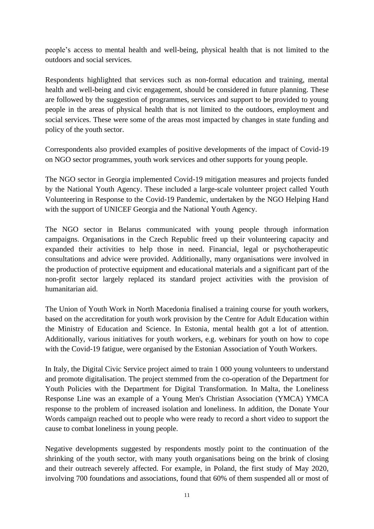people's access to mental health and well-being, physical health that is not limited to the outdoors and social services.

Respondents highlighted that services such as non-formal education and training, mental health and well-being and civic engagement, should be considered in future planning. These are followed by the suggestion of programmes, services and support to be provided to young people in the areas of physical health that is not limited to the outdoors, employment and social services. These were some of the areas most impacted by changes in state funding and policy of the youth sector.

Correspondents also provided examples of positive developments of the impact of Covid-19 on NGO sector programmes, youth work services and other supports for young people.

The NGO sector in Georgia implemented Covid-19 mitigation measures and projects funded by the National Youth Agency. These included a large-scale volunteer project called Youth Volunteering in Response to the Covid-19 Pandemic, undertaken by the NGO Helping Hand with the support of UNICEF Georgia and the National Youth Agency.

The NGO sector in Belarus communicated with young people through information campaigns. Organisations in the Czech Republic freed up their volunteering capacity and expanded their activities to help those in need. Financial, legal or psychotherapeutic consultations and advice were provided. Additionally, many organisations were involved in the production of protective equipment and educational materials and a significant part of the non-profit sector largely replaced its standard project activities with the provision of humanitarian aid.

The Union of Youth Work in North Macedonia finalised a training course for youth workers, based on the accreditation for youth work provision by the Centre for Adult Education within the Ministry of Education and Science. In Estonia, mental health got a lot of attention. Additionally, various initiatives for youth workers, e.g. webinars for youth on how to cope with the Covid-19 fatigue, were organised by the Estonian Association of Youth Workers.

In Italy, the Digital Civic Service project aimed to train 1 000 young volunteers to understand and promote digitalisation. The project stemmed from the co-operation of the Department for Youth Policies with the Department for Digital Transformation. In Malta, the Loneliness Response Line was an example of a Young Men's Christian Association (YMCA) YMCA response to the problem of increased isolation and loneliness. In addition, the Donate Your Words campaign reached out to people who were ready to record a short video to support the cause to combat loneliness in young people.

Negative developments suggested by respondents mostly point to the continuation of the shrinking of the youth sector, with many youth organisations being on the brink of closing and their outreach severely affected. For example, in Poland, the first study of May 2020, involving 700 foundations and associations, found that 60% of them suspended all or most of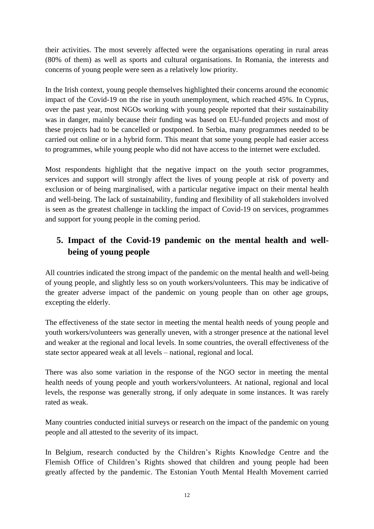their activities. The most severely affected were the organisations operating in rural areas (80% of them) as well as sports and cultural organisations. In Romania, the interests and concerns of young people were seen as a relatively low priority.

In the Irish context, young people themselves highlighted their concerns around the economic impact of the Covid-19 on the rise in youth unemployment, which reached 45%. In Cyprus, over the past year, most NGOs working with young people reported that their sustainability was in danger, mainly because their funding was based on EU-funded projects and most of these projects had to be cancelled or postponed. In Serbia, many programmes needed to be carried out online or in a hybrid form. This meant that some young people had easier access to programmes, while young people who did not have access to the internet were excluded.

Most respondents highlight that the negative impact on the youth sector programmes, services and support will strongly affect the lives of young people at risk of poverty and exclusion or of being marginalised, with a particular negative impact on their mental health and well-being. The lack of sustainability, funding and flexibility of all stakeholders involved is seen as the greatest challenge in tackling the impact of Covid-19 on services, programmes and support for young people in the coming period.

# **5. Impact of the Covid-19 pandemic on the mental health and wellbeing of young people**

All countries indicated the strong impact of the pandemic on the mental health and well-being of young people, and slightly less so on youth workers/volunteers. This may be indicative of the greater adverse impact of the pandemic on young people than on other age groups, excepting the elderly.

The effectiveness of the state sector in meeting the mental health needs of young people and youth workers/volunteers was generally uneven, with a stronger presence at the national level and weaker at the regional and local levels. In some countries, the overall effectiveness of the state sector appeared weak at all levels – national, regional and local.

There was also some variation in the response of the NGO sector in meeting the mental health needs of young people and youth workers/volunteers. At national, regional and local levels, the response was generally strong, if only adequate in some instances. It was rarely rated as weak.

Many countries conducted initial surveys or research on the impact of the pandemic on young people and all attested to the severity of its impact.

In Belgium, research conducted by the Children's Rights Knowledge Centre and the Flemish Office of Children's Rights showed that children and young people had been greatly affected by the pandemic. The Estonian Youth Mental Health Movement carried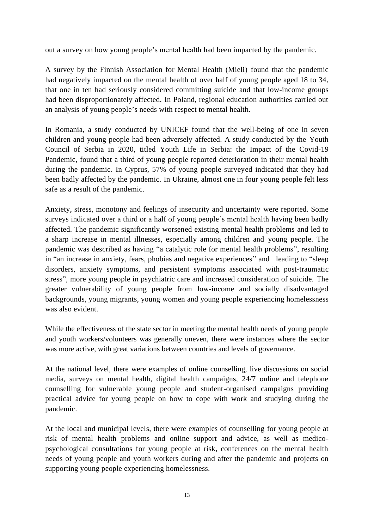out a survey on how young people's mental health had been impacted by the pandemic.

A survey by the Finnish Association for Mental Health (Mieli) found that the pandemic had negatively impacted on the mental health of over half of young people aged 18 to 34, that one in ten had seriously considered committing suicide and that low-income groups had been disproportionately affected. In Poland, regional education authorities carried out an analysis of young people's needs with respect to mental health.

In Romania, a study conducted by UNICEF found that the well-being of one in seven children and young people had been adversely affected. A study conducted by the Youth Council of Serbia in 2020, titled Youth Life in Serbia: the Impact of the Covid-19 Pandemic, found that a third of young people reported deterioration in their mental health during the pandemic. In Cyprus, 57% of young people surveyed indicated that they had been badly affected by the pandemic. In Ukraine, almost one in four young people felt less safe as a result of the pandemic.

Anxiety, stress, monotony and feelings of insecurity and uncertainty were reported. Some surveys indicated over a third or a half of young people's mental health having been badly affected. The pandemic significantly worsened existing mental health problems and led to a sharp increase in mental illnesses, especially among children and young people. The pandemic was described as having "a catalytic role for mental health problems", resulting in "an increase in anxiety, fears, phobias and negative experiences" and leading to "sleep disorders, anxiety symptoms, and persistent symptoms associated with post-traumatic stress", more young people in psychiatric care and increased consideration of suicide. The greater vulnerability of young people from low-income and socially disadvantaged backgrounds, young migrants, young women and young people experiencing homelessness was also evident.

While the effectiveness of the state sector in meeting the mental health needs of young people and youth workers/volunteers was generally uneven, there were instances where the sector was more active, with great variations between countries and levels of governance.

At the national level, there were examples of online counselling, live discussions on social media, surveys on mental health, digital health campaigns, 24/7 online and telephone counselling for vulnerable young people and student-organised campaigns providing practical advice for young people on how to cope with work and studying during the pandemic.

At the local and municipal levels, there were examples of counselling for young people at risk of mental health problems and online support and advice, as well as medicopsychological consultations for young people at risk, conferences on the mental health needs of young people and youth workers during and after the pandemic and projects on supporting young people experiencing homelessness.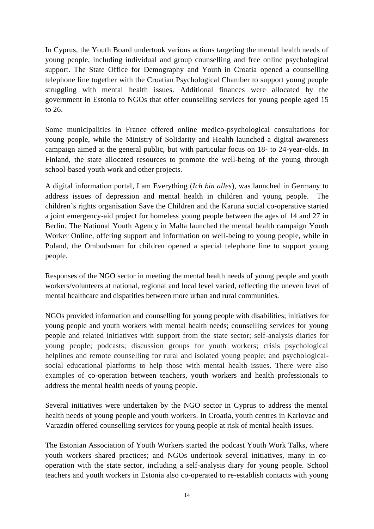In Cyprus, the Youth Board undertook various actions targeting the mental health needs of young people, including individual and group counselling and free online psychological support. The State Office for Demography and Youth in Croatia opened a counselling telephone line together with the Croatian Psychological Chamber to support young people struggling with mental health issues. Additional finances were allocated by the government in Estonia to NGOs that offer counselling services for young people aged 15 to 26.

Some municipalities in France offered online medico-psychological consultations for young people, while the Ministry of Solidarity and Health launched a digital awareness campaign aimed at the general public, but with particular focus on 18- to 24-year-olds. In Finland, the state allocated resources to promote the well-being of the young through school-based youth work and other projects.

A digital information portal, I am Everything (*Ich bin alles*), was launched in Germany to address issues of depression and mental health in children and young people. The children's rights organisation Save the Children and the Karuna social co-operative started a joint emergency-aid project for homeless young people between the ages of 14 and 27 in Berlin. The National Youth Agency in Malta launched the mental health campaign Youth Worker Online, offering support and information on well-being to young people, while in Poland, the Ombudsman for children opened a special telephone line to support young people.

Responses of the NGO sector in meeting the mental health needs of young people and youth workers/volunteers at national, regional and local level varied, reflecting the uneven level of mental healthcare and disparities between more urban and rural communities.

NGOs provided information and counselling for young people with disabilities; initiatives for young people and youth workers with mental health needs; counselling services for young people and related initiatives with support from the state sector; self-analysis diaries for young people; podcasts; discussion groups for youth workers; crisis psychological helplines and remote counselling for rural and isolated young people; and psychologicalsocial educational platforms to help those with mental health issues. There were also examples of co-operation between teachers, youth workers and health professionals to address the mental health needs of young people.

Several initiatives were undertaken by the NGO sector in Cyprus to address the mental health needs of young people and youth workers. In Croatia, youth centres in Karlovac and Varazdin offered counselling services for young people at risk of mental health issues.

The Estonian Association of Youth Workers started the podcast Youth Work Talks, where youth workers shared practices; and NGOs undertook several initiatives, many in cooperation with the state sector, including a self-analysis diary for young people. School teachers and youth workers in Estonia also co-operated to re-establish contacts with young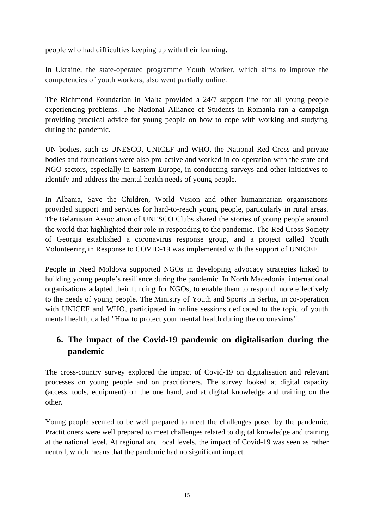people who had difficulties keeping up with their learning.

In Ukraine, the state-operated programme Youth Worker, which aims to improve the competencies of youth workers, also went partially online.

The Richmond Foundation in Malta provided a 24/7 support line for all young people experiencing problems. The National Alliance of Students in Romania ran a campaign providing practical advice for young people on how to cope with working and studying during the pandemic.

UN bodies, such as UNESCO, UNICEF and WHO, the National Red Cross and private bodies and foundations were also pro-active and worked in co-operation with the state and NGO sectors, especially in Eastern Europe, in conducting surveys and other initiatives to identify and address the mental health needs of young people.

In Albania, Save the Children, World Vision and other humanitarian organisations provided support and services for hard-to-reach young people, particularly in rural areas. The Belarusian Association of UNESCO Clubs shared the stories of young people around the world that highlighted their role in responding to the pandemic. The Red Cross Society of Georgia established a coronavirus response group, and a project called Youth Volunteering in Response to COVID-19 was implemented with the support of UNICEF.

People in Need Moldova supported NGOs in developing advocacy strategies linked to building young people's resilience during the pandemic. In North Macedonia, international organisations adapted their funding for NGOs, to enable them to respond more effectively to the needs of young people. The Ministry of Youth and Sports in Serbia, in co-operation with UNICEF and WHO, participated in online sessions dedicated to the topic of youth mental health, called "How to protect your mental health during the coronavirus".

# **6. The impact of the Covid-19 pandemic on digitalisation during the pandemic**

The cross-country survey explored the impact of Covid-19 on digitalisation and relevant processes on young people and on practitioners. The survey looked at digital capacity (access, tools, equipment) on the one hand, and at digital knowledge and training on the other.

Young people seemed to be well prepared to meet the challenges posed by the pandemic. Practitioners were well prepared to meet challenges related to digital knowledge and training at the national level. At regional and local levels, the impact of Covid-19 was seen as rather neutral, which means that the pandemic had no significant impact.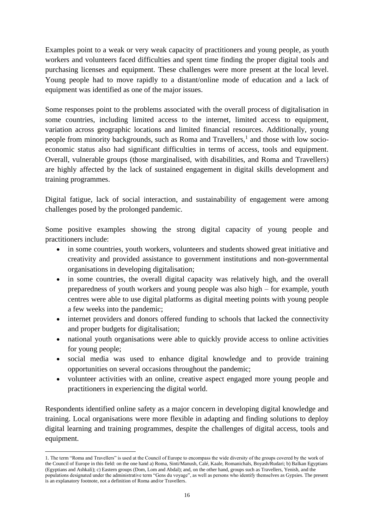Examples point to a weak or very weak capacity of practitioners and young people, as youth workers and volunteers faced difficulties and spent time finding the proper digital tools and purchasing licenses and equipment. These challenges were more present at the local level. Young people had to move rapidly to a distant/online mode of education and a lack of equipment was identified as one of the major issues.

Some responses point to the problems associated with the overall process of digitalisation in some countries, including limited access to the internet, limited access to equipment, variation across geographic locations and limited financial resources. Additionally, young people from minority backgrounds, such as Roma and Travellers,<sup>1</sup> and those with low socioeconomic status also had significant difficulties in terms of access, tools and equipment. Overall, vulnerable groups (those marginalised, with disabilities, and Roma and Travellers) are highly affected by the lack of sustained engagement in digital skills development and training programmes.

Digital fatigue, lack of social interaction, and sustainability of engagement were among challenges posed by the prolonged pandemic.

Some positive examples showing the strong digital capacity of young people and practitioners include:

- in some countries, youth workers, volunteers and students showed great initiative and creativity and provided assistance to government institutions and non-governmental organisations in developing digitalisation;
- in some countries, the overall digital capacity was relatively high, and the overall preparedness of youth workers and young people was also high – for example, youth centres were able to use digital platforms as digital meeting points with young people a few weeks into the pandemic;
- internet providers and donors offered funding to schools that lacked the connectivity and proper budgets for digitalisation;
- national youth organisations were able to quickly provide access to online activities for young people;
- social media was used to enhance digital knowledge and to provide training opportunities on several occasions throughout the pandemic;
- volunteer activities with an online, creative aspect engaged more young people and practitioners in experiencing the digital world.

Respondents identified online safety as a major concern in developing digital knowledge and training. Local organisations were more flexible in adapting and finding solutions to deploy digital learning and training programmes, despite the challenges of digital access, tools and equipment.

<sup>1.</sup> The term "Roma and Travellers" is used at the Council of Europe to encompass the wide diversity of the groups covered by the work of the Council of Europe in this field: on the one hand a) Roma, Sinti/Manush, Calé, Kaale, Romanichals, Boyash/Rudari; b) Balkan Egyptians (Egyptians and Ashkali); c) Eastern groups (Dom, Lom and Abdal); and, on the other hand, groups such as Travellers, Yenish, and the populations designated under the administrative term "Gens du voyage", as well as persons who identify themselves as Gypsies. The present is an explanatory footnote, not a definition of Roma and/or Travellers.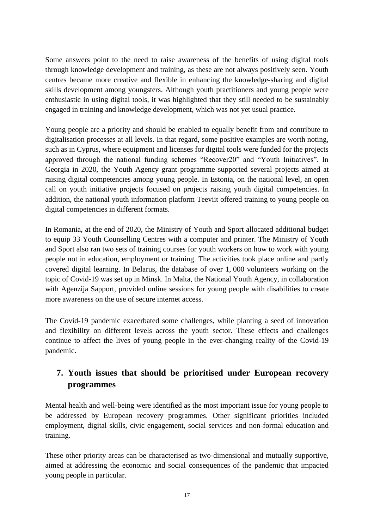Some answers point to the need to raise awareness of the benefits of using digital tools through knowledge development and training, as these are not always positively seen. Youth centres became more creative and flexible in enhancing the knowledge-sharing and digital skills development among youngsters. Although youth practitioners and young people were enthusiastic in using digital tools, it was highlighted that they still needed to be sustainably engaged in training and knowledge development, which was not yet usual practice.

Young people are a priority and should be enabled to equally benefit from and contribute to digitalisation processes at all levels. In that regard, some positive examples are worth noting, such as in Cyprus, where equipment and licenses for digital tools were funded for the projects approved through the national funding schemes "Recover20" and "Youth Initiatives". In Georgia in 2020, the Youth Agency grant programme supported several projects aimed at raising digital competencies among young people. In Estonia, on the national level, an open call on youth initiative projects focused on projects raising youth digital competencies. In addition, the national youth information platform Teeviit offered training to young people on digital competencies in different formats.

In Romania, at the end of 2020, the Ministry of Youth and Sport allocated additional budget to equip 33 Youth Counselling Centres with a computer and printer. The Ministry of Youth and Sport also ran two sets of training courses for youth workers on how to work with young people not in education, employment or training. The activities took place online and partly covered digital learning. In Belarus, the database of over 1, 000 volunteers working on the topic of Covid-19 was set up in Minsk. In Malta, the National Youth Agency, in collaboration with Agenzija Sapport, provided online sessions for young people with disabilities to create more awareness on the use of secure internet access.

The Covid-19 pandemic exacerbated some challenges, while planting a seed of innovation and flexibility on different levels across the youth sector. These effects and challenges continue to affect the lives of young people in the ever-changing reality of the Covid-19 pandemic.

# **7. Youth issues that should be prioritised under European recovery programmes**

Mental health and well-being were identified as the most important issue for young people to be addressed by European recovery programmes. Other significant priorities included employment, digital skills, civic engagement, social services and non-formal education and training.

These other priority areas can be characterised as two-dimensional and mutually supportive, aimed at addressing the economic and social consequences of the pandemic that impacted young people in particular.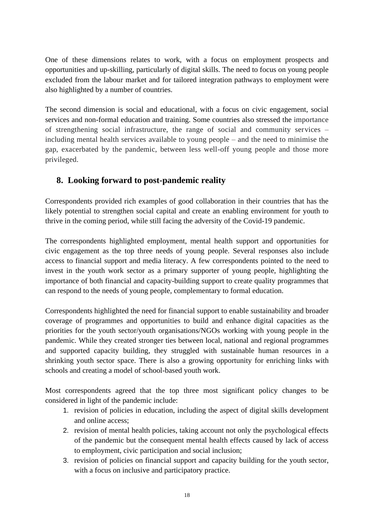One of these dimensions relates to work, with a focus on employment prospects and opportunities and up-skilling, particularly of digital skills. The need to focus on young people excluded from the labour market and for tailored integration pathways to employment were also highlighted by a number of countries.

The second dimension is social and educational, with a focus on civic engagement, social services and non-formal education and training. Some countries also stressed the importance of strengthening social infrastructure, the range of social and community services – including mental health services available to young people – and the need to minimise the gap, exacerbated by the pandemic, between less well-off young people and those more privileged.

#### **8. Looking forward to post-pandemic reality**

Correspondents provided rich examples of good collaboration in their countries that has the likely potential to strengthen social capital and create an enabling environment for youth to thrive in the coming period, while still facing the adversity of the Covid-19 pandemic.

The correspondents highlighted employment, mental health support and opportunities for civic engagement as the top three needs of young people. Several responses also include access to financial support and media literacy. A few correspondents pointed to the need to invest in the youth work sector as a primary supporter of young people, highlighting the importance of both financial and capacity-building support to create quality programmes that can respond to the needs of young people, complementary to formal education.

Correspondents highlighted the need for financial support to enable sustainability and broader coverage of programmes and opportunities to build and enhance digital capacities as the priorities for the youth sector/youth organisations/NGOs working with young people in the pandemic. While they created stronger ties between local, national and regional programmes and supported capacity building, they struggled with sustainable human resources in a shrinking youth sector space. There is also a growing opportunity for enriching links with schools and creating a model of school-based youth work.

Most correspondents agreed that the top three most significant policy changes to be considered in light of the pandemic include:

- 1. revision of policies in education, including the aspect of digital skills development and online access;
- 2. revision of mental health policies, taking account not only the psychological effects of the pandemic but the consequent mental health effects caused by lack of access to employment, civic participation and social inclusion;
- 3. revision of policies on financial support and capacity building for the youth sector, with a focus on inclusive and participatory practice.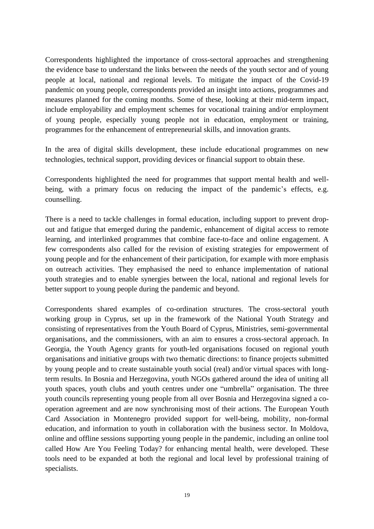Correspondents highlighted the importance of cross-sectoral approaches and strengthening the evidence base to understand the links between the needs of the youth sector and of young people at local, national and regional levels. To mitigate the impact of the Covid-19 pandemic on young people, correspondents provided an insight into actions, programmes and measures planned for the coming months. Some of these, looking at their mid-term impact, include employability and employment schemes for vocational training and/or employment of young people, especially young people not in education, employment or training, programmes for the enhancement of entrepreneurial skills, and innovation grants.

In the area of digital skills development, these include educational programmes on new technologies, technical support, providing devices or financial support to obtain these.

Correspondents highlighted the need for programmes that support mental health and wellbeing, with a primary focus on reducing the impact of the pandemic's effects, e.g. counselling.

There is a need to tackle challenges in formal education, including support to prevent dropout and fatigue that emerged during the pandemic, enhancement of digital access to remote learning, and interlinked programmes that combine face-to-face and online engagement. A few correspondents also called for the revision of existing strategies for empowerment of young people and for the enhancement of their participation, for example with more emphasis on outreach activities. They emphasised the need to enhance implementation of national youth strategies and to enable synergies between the local, national and regional levels for better support to young people during the pandemic and beyond.

Correspondents shared examples of co-ordination structures. The cross-sectoral youth working group in Cyprus, set up in the framework of the National Youth Strategy and consisting of representatives from the Youth Board of Cyprus, Ministries, semi-governmental organisations, and the commissioners, with an aim to ensures a cross-sectoral approach. In Georgia, the Youth Agency grants for youth-led organisations focused on regional youth organisations and initiative groups with two thematic directions: to finance projects submitted by young people and to create sustainable youth social (real) and/or virtual spaces with longterm results. In Bosnia and Herzegovina, youth NGOs gathered around the idea of uniting all youth spaces, youth clubs and youth centres under one "umbrella" organisation. The three youth councils representing young people from all over Bosnia and Herzegovina signed a cooperation agreement and are now synchronising most of their actions. The European Youth Card Association in Montenegro provided support for well-being, mobility, non-formal education, and information to youth in collaboration with the business sector. In Moldova, online and offline sessions supporting young people in the pandemic, including an online tool called How Are You Feeling Today? for enhancing mental health, were developed. These tools need to be expanded at both the regional and local level by professional training of specialists.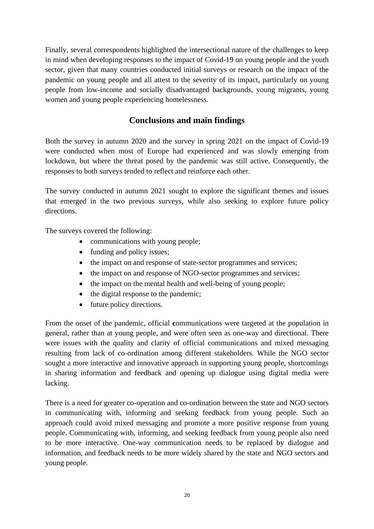Finally, several correspondents highlighted the intersectional nature of the challenges to keep in mind when developing responses to the impact of Covid-19 on young people and the youth sector, given that many countries conducted initial surveys or research on the impact of the pandemic on young people and all attest to the severity of its impact, particularly on young people from low-income and socially disadvantaged backgrounds, young migrants, young women and young people experiencing homelessness.

#### **Conclusions and main findings**

Both the survey in autumn 2020 and the survey in spring 2021 on the impact of Covid-19 were conducted when most of Europe had experienced and was slowly emerging from lockdown, but where the threat posed by the pandemic was still active. Consequently, the responses to both surveys tended to reflect and reinforce each other.

The survey conducted in autumn 2021 sought to explore the significant themes and issues that emerged in the two previous surveys, while also seeking to explore future policy directions.

The surveys covered the following:

- communications with young people;
- funding and policy issues:
- the impact on and response of state-sector programmes and services;
- the impact on and response of NGO-sector programmes and services;
- the impact on the mental health and well-being of young people;
- the digital response to the pandemic;
- future policy directions.

From the onset of the pandemic, official **c**ommunications were targeted at the population in general, rather than at young people, and were often seen as one-way and directional. There were issues with the quality and clarity of official communications and mixed messaging resulting from lack of co-ordination among different stakeholders. While the NGO sector sought a more interactive and innovative approach in supporting young people, shortcomings in sharing information and feedback and opening up dialogue using digital media were lacking.

There is a need for greater co-operation and co-ordination between the state and NGO sectors in communicating with, informing and seeking feedback from young people. Such an approach could avoid mixed messaging and promote a more positive response from young people. Communicating with, informing, and seeking feedback from young people also need to be more interactive. One-way communication needs to be replaced by dialogue and information, and feedback needs to be more widely shared by the state and NGO sectors and young people.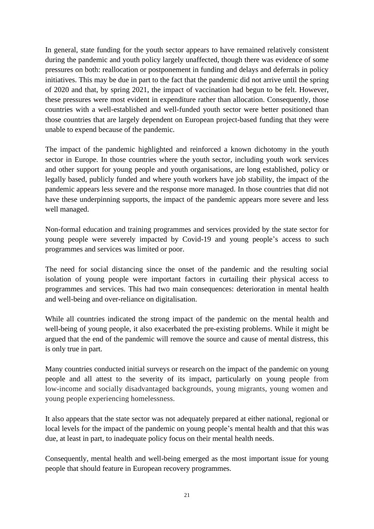In general, state funding for the youth sector appears to have remained relatively consistent during the pandemic and youth policy largely unaffected, though there was evidence of some pressures on both: reallocation or postponement in funding and delays and deferrals in policy initiatives. This may be due in part to the fact that the pandemic did not arrive until the spring of 2020 and that, by spring 2021, the impact of vaccination had begun to be felt. However, these pressures were most evident in expenditure rather than allocation. Consequently, those countries with a well-established and well-funded youth sector were better positioned than those countries that are largely dependent on European project-based funding that they were unable to expend because of the pandemic.

The impact of the pandemic highlighted and reinforced a known dichotomy in the youth sector in Europe. In those countries where the youth sector, including youth work services and other support for young people and youth organisations, are long established, policy or legally based, publicly funded and where youth workers have job stability, the impact of the pandemic appears less severe and the response more managed. In those countries that did not have these underpinning supports, the impact of the pandemic appears more severe and less well managed.

Non-formal education and training programmes and services provided by the state sector for young people were severely impacted by Covid-19 and young people's access to such programmes and services was limited or poor.

The need for social distancing since the onset of the pandemic and the resulting social isolation of young people were important factors in curtailing their physical access to programmes and services. This had two main consequences: deterioration in mental health and well-being and over-reliance on digitalisation.

While all countries indicated the strong impact of the pandemic on the mental health and well-being of young people, it also exacerbated the pre-existing problems. While it might be argued that the end of the pandemic will remove the source and cause of mental distress, this is only true in part.

Many countries conducted initial surveys or research on the impact of the pandemic on young people and all attest to the severity of its impact, particularly on young people from low-income and socially disadvantaged backgrounds, young migrants, young women and young people experiencing homelessness.

It also appears that the state sector was not adequately prepared at either national, regional or local levels for the impact of the pandemic on young people's mental health and that this was due, at least in part, to inadequate policy focus on their mental health needs.

Consequently, mental health and well-being emerged as the most important issue for young people that should feature in European recovery programmes.